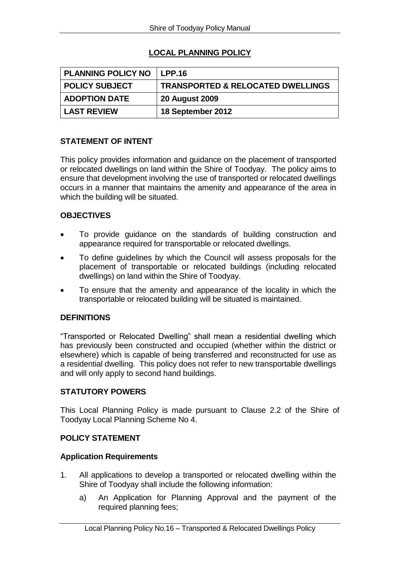# **LOCAL PLANNING POLICY**

| <b>PLANNING POLICY NO</b> | LPP.16                                       |
|---------------------------|----------------------------------------------|
| <b>POLICY SUBJECT</b>     | <b>TRANSPORTED &amp; RELOCATED DWELLINGS</b> |
| <b>ADOPTION DATE</b>      | <b>20 August 2009</b>                        |
| <b>LAST REVIEW</b>        | 18 September 2012                            |

# **STATEMENT OF INTENT**

This policy provides information and guidance on the placement of transported or relocated dwellings on land within the Shire of Toodyay. The policy aims to ensure that development involving the use of transported or relocated dwellings occurs in a manner that maintains the amenity and appearance of the area in which the building will be situated.

# **OBJECTIVES**

- To provide guidance on the standards of building construction and appearance required for transportable or relocated dwellings.
- To define guidelines by which the Council will assess proposals for the placement of transportable or relocated buildings (including relocated dwellings) on land within the Shire of Toodyay.
- To ensure that the amenity and appearance of the locality in which the transportable or relocated building will be situated is maintained.

# **DEFINITIONS**

"Transported or Relocated Dwelling" shall mean a residential dwelling which has previously been constructed and occupied (whether within the district or elsewhere) which is capable of being transferred and reconstructed for use as a residential dwelling. This policy does not refer to new transportable dwellings and will only apply to second hand buildings.

#### **STATUTORY POWERS**

This Local Planning Policy is made pursuant to Clause 2.2 of the Shire of Toodyay Local Planning Scheme No 4.

# **POLICY STATEMENT**

#### **Application Requirements**

- 1. All applications to develop a transported or relocated dwelling within the Shire of Toodyay shall include the following information:
	- a) An Application for Planning Approval and the payment of the required planning fees;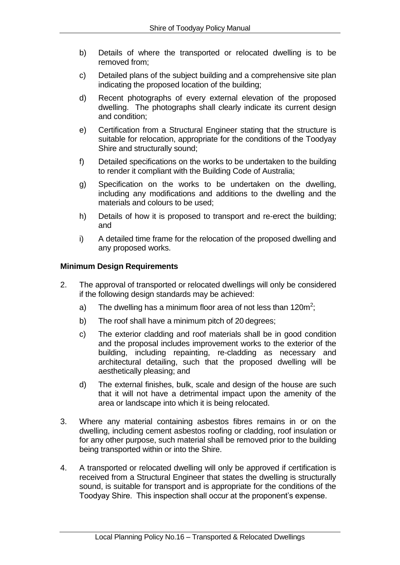- b) Details of where the transported or relocated dwelling is to be removed from;
- c) Detailed plans of the subject building and a comprehensive site plan indicating the proposed location of the building;
- d) Recent photographs of every external elevation of the proposed dwelling. The photographs shall clearly indicate its current design and condition;
- e) Certification from a Structural Engineer stating that the structure is suitable for relocation, appropriate for the conditions of the Toodyay Shire and structurally sound;
- f) Detailed specifications on the works to be undertaken to the building to render it compliant with the Building Code of Australia;
- g) Specification on the works to be undertaken on the dwelling, including any modifications and additions to the dwelling and the materials and colours to be used;
- h) Details of how it is proposed to transport and re-erect the building; and
- i) A detailed time frame for the relocation of the proposed dwelling and any proposed works.

# **Minimum Design Requirements**

- 2. The approval of transported or relocated dwellings will only be considered if the following design standards may be achieved:
	- a) The dwelling has a minimum floor area of not less than 120m<sup>2</sup>;
	- b) The roof shall have a minimum pitch of 20 degrees;
	- c) The exterior cladding and roof materials shall be in good condition and the proposal includes improvement works to the exterior of the building, including repainting, re-cladding as necessary and architectural detailing, such that the proposed dwelling will be aesthetically pleasing; and
	- d) The external finishes, bulk, scale and design of the house are such that it will not have a detrimental impact upon the amenity of the area or landscape into which it is being relocated.
- 3. Where any material containing asbestos fibres remains in or on the dwelling, including cement asbestos roofing or cladding, roof insulation or for any other purpose, such material shall be removed prior to the building being transported within or into the Shire.
- 4. A transported or relocated dwelling will only be approved if certification is received from a Structural Engineer that states the dwelling is structurally sound, is suitable for transport and is appropriate for the conditions of the Toodyay Shire. This inspection shall occur at the proponent's expense.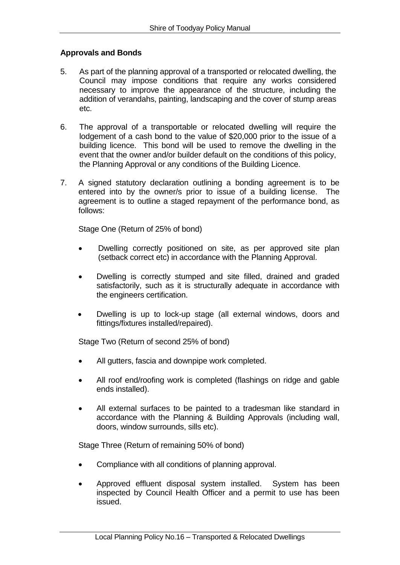# **Approvals and Bonds**

- 5. As part of the planning approval of a transported or relocated dwelling, the Council may impose conditions that require any works considered necessary to improve the appearance of the structure, including the addition of verandahs, painting, landscaping and the cover of stump areas etc.
- 6. The approval of a transportable or relocated dwelling will require the lodgement of a cash bond to the value of \$20,000 prior to the issue of a building licence. This bond will be used to remove the dwelling in the event that the owner and/or builder default on the conditions of this policy, the Planning Approval or any conditions of the Building Licence.
- 7. A signed statutory declaration outlining a bonding agreement is to be entered into by the owner/s prior to issue of a building license. The agreement is to outline a staged repayment of the performance bond, as follows:

Stage One (Return of 25% of bond)

- Dwelling correctly positioned on site, as per approved site plan (setback correct etc) in accordance with the Planning Approval.
- Dwelling is correctly stumped and site filled, drained and graded satisfactorily, such as it is structurally adequate in accordance with the engineers certification.
- Dwelling is up to lock-up stage (all external windows, doors and fittings/fixtures installed/repaired).

Stage Two (Return of second 25% of bond)

- All gutters, fascia and downpipe work completed.
- All roof end/roofing work is completed (flashings on ridge and gable ends installed).
- All external surfaces to be painted to a tradesman like standard in accordance with the Planning & Building Approvals (including wall, doors, window surrounds, sills etc).

Stage Three (Return of remaining 50% of bond)

- Compliance with all conditions of planning approval.
- Approved effluent disposal system installed. System has been inspected by Council Health Officer and a permit to use has been issued.